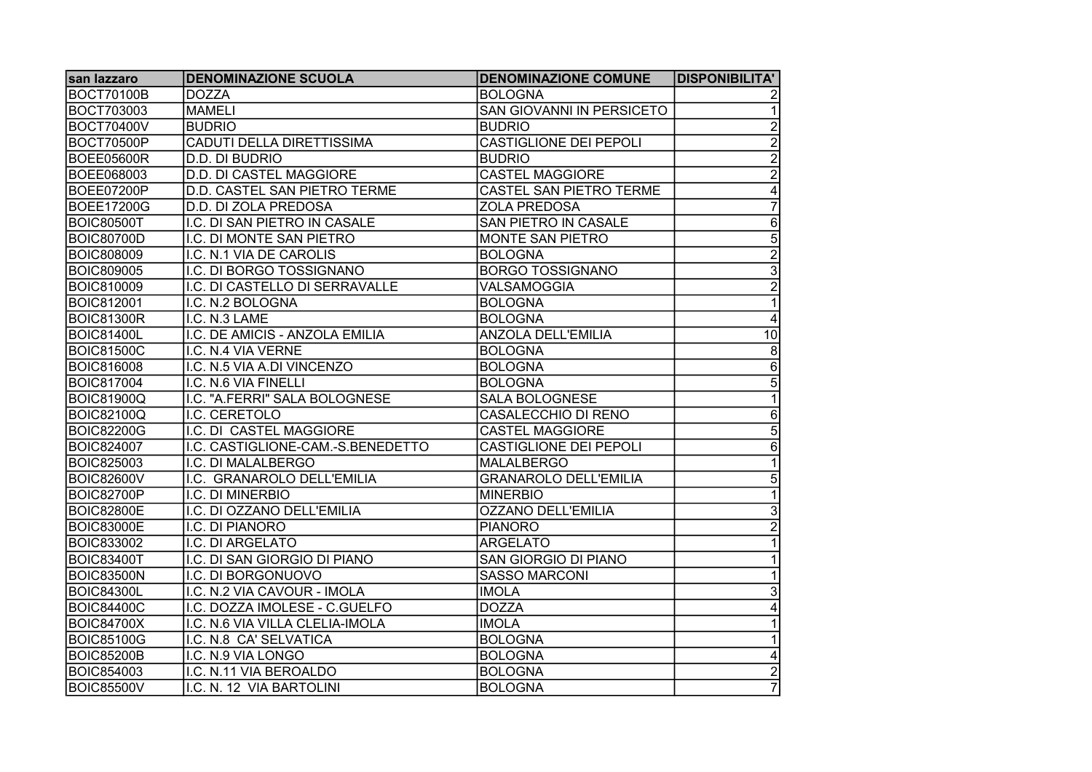| san lazzaro       | <b>DENOMINAZIONE SCUOLA</b>       | <b>DENOMINAZIONE COMUNE</b>   | <b>DISPONIBILITA'</b> |
|-------------------|-----------------------------------|-------------------------------|-----------------------|
| <b>BOCT70100B</b> | <b>DOZZA</b>                      | <b>BOLOGNA</b>                |                       |
| <b>BOCT703003</b> | <b>MAMELI</b>                     | SAN GIOVANNI IN PERSICETO     |                       |
| <b>BOCT70400V</b> | <b>BUDRIO</b>                     | <b>BUDRIO</b>                 | $\overline{2}$        |
| <b>BOCT70500P</b> | <b>CADUTI DELLA DIRETTISSIMA</b>  | <b>CASTIGLIONE DEI PEPOLI</b> | $\overline{2}$        |
| <b>BOEE05600R</b> | D.D. DI BUDRIO                    | <b>BUDRIO</b>                 | $\overline{2}$        |
| BOEE068003        | D.D. DI CASTEL MAGGIORE           | <b>CASTEL MAGGIORE</b>        | $\overline{2}$        |
| <b>BOEE07200P</b> | D.D. CASTEL SAN PIETRO TERME      | CASTEL SAN PIETRO TERME       | 4                     |
| <b>BOEE17200G</b> | D.D. DI ZOLA PREDOSA              | <b>ZOLA PREDOSA</b>           |                       |
| <b>BOIC80500T</b> | I.C. DI SAN PIETRO IN CASALE      | SAN PIETRO IN CASALE          | $\overline{6}$        |
| <b>BOIC80700D</b> | I.C. DI MONTE SAN PIETRO          | <b>MONTE SAN PIETRO</b>       | $\overline{5}$        |
| <b>BOIC808009</b> | I.C. N.1 VIA DE CAROLIS           | <b>BOLOGNA</b>                | $\overline{2}$        |
| <b>BOIC809005</b> | I.C. DI BORGO TOSSIGNANO          | <b>BORGO TOSSIGNANO</b>       | $\overline{3}$        |
| <b>BOIC810009</b> | I.C. DI CASTELLO DI SERRAVALLE    | VALSAMOGGIA                   | $\overline{2}$        |
| <b>BOIC812001</b> | I.C. N.2 BOLOGNA                  | <b>BOLOGNA</b>                |                       |
| <b>BOIC81300R</b> | I.C. N.3 LAME                     | <b>BOLOGNA</b>                | 4                     |
| <b>BOIC81400L</b> | I.C. DE AMICIS - ANZOLA EMILIA    | <b>ANZOLA DELL'EMILIA</b>     | $\overline{10}$       |
| <b>BOIC81500C</b> | I.C. N.4 VIA VERNE                | <b>BOLOGNA</b>                | $\bf 8$               |
| <b>BOIC816008</b> | I.C. N.5 VIA A.DI VINCENZO        | <b>BOLOGNA</b>                | $\overline{6}$        |
| <b>BOIC817004</b> | I.C. N.6 VIA FINELLI              | <b>BOLOGNA</b>                | $\overline{5}$        |
| <b>BOIC81900Q</b> | I.C. "A.FERRI" SALA BOLOGNESE     | SALA BOLOGNESE                | 1                     |
| <b>BOIC82100Q</b> | I.C. CERETOLO                     | CASALECCHIO DI RENO           | 6                     |
| <b>BOIC82200G</b> | I.C. DI CASTEL MAGGIORE           | <b>CASTEL MAGGIORE</b>        | $\overline{5}$        |
| <b>BOIC824007</b> | I.C. CASTIGLIONE-CAM.-S.BENEDETTO | CASTIGLIONE DEI PEPOLI        | 6                     |
| <b>BOIC825003</b> | I.C. DI MALALBERGO                | <b>MALALBERGO</b>             |                       |
| BOIC82600V        | I.C. GRANAROLO DELL'EMILIA        | <b>GRANAROLO DELL'EMILIA</b>  | $\overline{5}$        |
| <b>BOIC82700P</b> | I.C. DI MINERBIO                  | <b>MINERBIO</b>               |                       |
| <b>BOIC82800E</b> | I.C. DI OZZANO DELL'EMILIA        | <b>OZZANO DELL'EMILIA</b>     | $\overline{3}$        |
| <b>BOIC83000E</b> | I.C. DI PIANORO                   | PIANORO                       |                       |
| <b>BOIC833002</b> | I.C. DI ARGELATO                  | <b>ARGELATO</b>               |                       |
| <b>BOIC83400T</b> | I.C. DI SAN GIORGIO DI PIANO      | <b>SAN GIORGIO DI PIANO</b>   |                       |
| <b>BOIC83500N</b> | I.C. DI BORGONUOVO                | <b>SASSO MARCONI</b>          |                       |
| <b>BOIC84300L</b> | I.C. N.2 VIA CAVOUR - IMOLA       | <b>IMOLA</b>                  | 3                     |
| <b>BOIC84400C</b> | I.C. DOZZA IMOLESE - C.GUELFO     | <b>DOZZA</b>                  | $\overline{4}$        |
| <b>BOIC84700X</b> | I.C. N.6 VIA VILLA CLELIA-IMOLA   | <b>IMOLA</b>                  |                       |
| <b>BOIC85100G</b> | I.C. N.8 CA' SELVATICA            | <b>BOLOGNA</b>                |                       |
| <b>BOIC85200B</b> | I.C. N.9 VIA LONGO                | <b>BOLOGNA</b>                | 4                     |
| <b>BOIC854003</b> | I.C. N.11 VIA BEROALDO            | <b>BOLOGNA</b>                | $\overline{2}$        |
| <b>BOIC85500V</b> | I.C. N. 12 VIA BARTOLINI          | <b>BOLOGNA</b>                | $\overline{7}$        |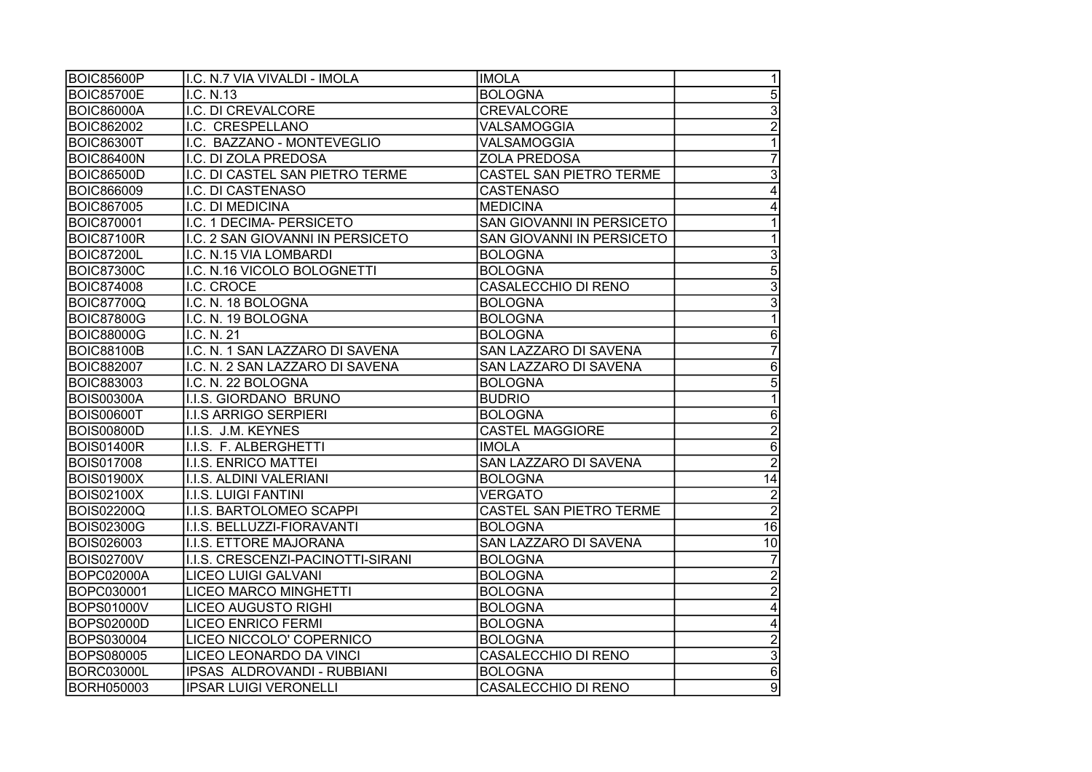| BOIC85600P        | I.C. N.7 VIA VIVALDI - IMOLA      | IIMOLA                         | 1               |
|-------------------|-----------------------------------|--------------------------------|-----------------|
| <b>BOIC85700E</b> | I.C. N.13                         | <b>BOLOGNA</b>                 | $\overline{5}$  |
| <b>BOIC86000A</b> | I.C. DI CREVALCORE                | <b>CREVALCORE</b>              | $\overline{3}$  |
| <b>BOIC862002</b> | I.C. CRESPELLANO                  | VALSAMOGGIA                    | $\overline{2}$  |
| <b>BOIC86300T</b> | I.C. BAZZANO - MONTEVEGLIO        | VALSAMOGGIA                    |                 |
| <b>BOIC86400N</b> | I.C. DI ZOLA PREDOSA              | <b>ZOLA PREDOSA</b>            |                 |
| <b>BOIC86500D</b> | I.C. DI CASTEL SAN PIETRO TERME   | <b>CASTEL SAN PIETRO TERME</b> | $\overline{3}$  |
| <b>BOIC866009</b> | I.C. DI CASTENASO                 | <b>CASTENASO</b>               |                 |
| <b>BOIC867005</b> | I.C. DI MEDICINA                  | <b>MEDICINA</b>                | 4               |
| <b>BOIC870001</b> | I.C. 1 DECIMA- PERSICETO          | SAN GIOVANNI IN PERSICETO      |                 |
| <b>BOIC87100R</b> | I.C. 2 SAN GIOVANNI IN PERSICETO  | SAN GIOVANNI IN PERSICETO      |                 |
| <b>BOIC87200L</b> | I.C. N.15 VIA LOMBARDI            | <b>BOLOGNA</b>                 | $\overline{3}$  |
| <b>BOIC87300C</b> | I.C. N.16 VICOLO BOLOGNETTI       | <b>BOLOGNA</b>                 | $\overline{5}$  |
| <b>BOIC874008</b> | I.C. CROCE                        | CASALECCHIO DI RENO            | $\overline{3}$  |
| <b>BOIC87700Q</b> | I.C. N. 18 BOLOGNA                | <b>BOLOGNA</b>                 | 3               |
| <b>BOIC87800G</b> | I.C. N. 19 BOLOGNA                | <b>BOLOGNA</b>                 |                 |
| <b>BOIC88000G</b> | I.C. N. 21                        | BOLOGNA                        | 6               |
| <b>BOIC88100B</b> | I.C. N. 1 SAN LAZZARO DI SAVENA   | SAN LAZZARO DI SAVENA          |                 |
| <b>BOIC882007</b> | I.C. N. 2 SAN LAZZARO DI SAVENA   | SAN LAZZARO DI SAVENA          | 6               |
| <b>BOIC883003</b> | I.C. N. 22 BOLOGNA                | <b>BOLOGNA</b>                 | 5               |
| <b>BOIS00300A</b> | I.I.S. GIORDANO BRUNO             | <b>BUDRIO</b>                  |                 |
| <b>BOIS00600T</b> | <b>I.I.S ARRIGO SERPIERI</b>      | <b>BOLOGNA</b>                 | 6               |
| <b>BOIS00800D</b> | I.I.S. J.M. KEYNES                | <b>CASTEL MAGGIORE</b>         | $\overline{2}$  |
| <b>BOIS01400R</b> | I.I.S. F. ALBERGHETTI             | <b>IMOLA</b>                   | 6               |
| <b>BOIS017008</b> | I.I.S. ENRICO MATTEI              | SAN LAZZARO DI SAVENA          | $\overline{2}$  |
| <b>BOIS01900X</b> | I.I.S. ALDINI VALERIANI           | <b>BOLOGNA</b>                 | $\overline{14}$ |
| <b>BOIS02100X</b> | <b>I.I.S. LUIGI FANTINI</b>       | <b>VERGATO</b>                 | $\overline{2}$  |
| <b>BOIS02200Q</b> | I.I.S. BARTOLOMEO SCAPPI          | CASTEL SAN PIETRO TERME        | $\overline{2}$  |
| <b>BOIS02300G</b> | I.I.S. BELLUZZI-FIORAVANTI        | <b>BOLOGNA</b>                 | 16              |
| <b>BOIS026003</b> | I.I.S. ETTORE MAJORANA            | <b>SAN LAZZARO DI SAVENA</b>   | $\overline{10}$ |
| <b>BOIS02700V</b> | I.I.S. CRESCENZI-PACINOTTI-SIRANI | <b>BOLOGNA</b>                 |                 |
| <b>BOPC02000A</b> | <b>LICEO LUIGI GALVANI</b>        | <b>BOLOGNA</b>                 | $\overline{2}$  |
| BOPC030001        | <b>LICEO MARCO MINGHETTI</b>      | <b>BOLOGNA</b>                 | $\overline{c}$  |
| <b>BOPS01000V</b> | <b>LICEO AUGUSTO RIGHI</b>        | <b>BOLOGNA</b>                 | 4               |
| <b>BOPS02000D</b> | <b>LICEO ENRICO FERMI</b>         | <b>BOLOGNA</b>                 | 4               |
| BOPS030004        | LICEO NICCOLO' COPERNICO          | <b>BOLOGNA</b>                 | $\overline{2}$  |
| <b>BOPS080005</b> | LICEO LEONARDO DA VINCI           | CASALECCHIO DI RENO            | $\overline{3}$  |
| BORC03000L        | IPSAS ALDROVANDI - RUBBIANI       | <b>BOLOGNA</b>                 | $\overline{6}$  |
| <b>BORH050003</b> | <b>IPSAR LUIGI VERONELLI</b>      | CASALECCHIO DI RENO            | $\overline{9}$  |